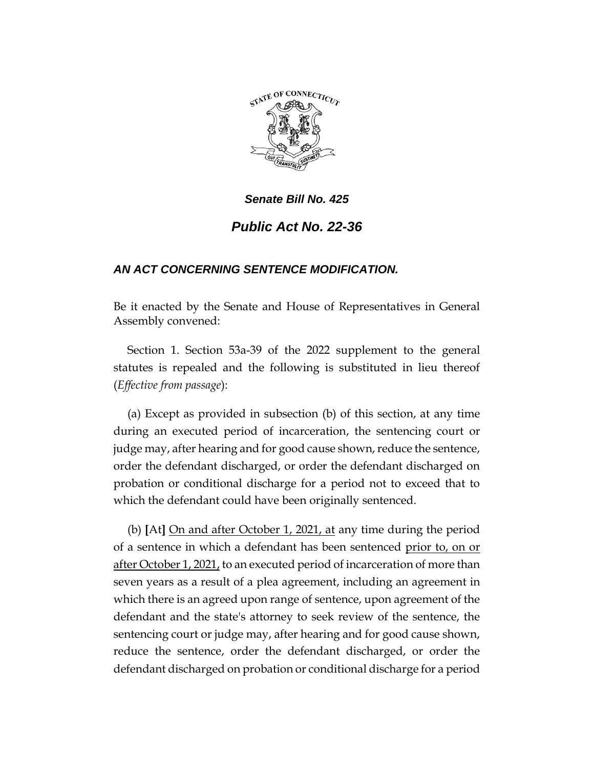

## *Senate Bill No. 425*

## *Public Act No. 22-36*

## *AN ACT CONCERNING SENTENCE MODIFICATION.*

Be it enacted by the Senate and House of Representatives in General Assembly convened:

Section 1. Section 53a-39 of the 2022 supplement to the general statutes is repealed and the following is substituted in lieu thereof (*Effective from passage*):

(a) Except as provided in subsection (b) of this section, at any time during an executed period of incarceration, the sentencing court or judge may, after hearing and for good cause shown, reduce the sentence, order the defendant discharged, or order the defendant discharged on probation or conditional discharge for a period not to exceed that to which the defendant could have been originally sentenced.

(b) **[**At**]** On and after October 1, 2021, at any time during the period of a sentence in which a defendant has been sentenced prior to, on or after October 1, 2021, to an executed period of incarceration of more than seven years as a result of a plea agreement, including an agreement in which there is an agreed upon range of sentence, upon agreement of the defendant and the state's attorney to seek review of the sentence, the sentencing court or judge may, after hearing and for good cause shown, reduce the sentence, order the defendant discharged, or order the defendant discharged on probation or conditional discharge for a period